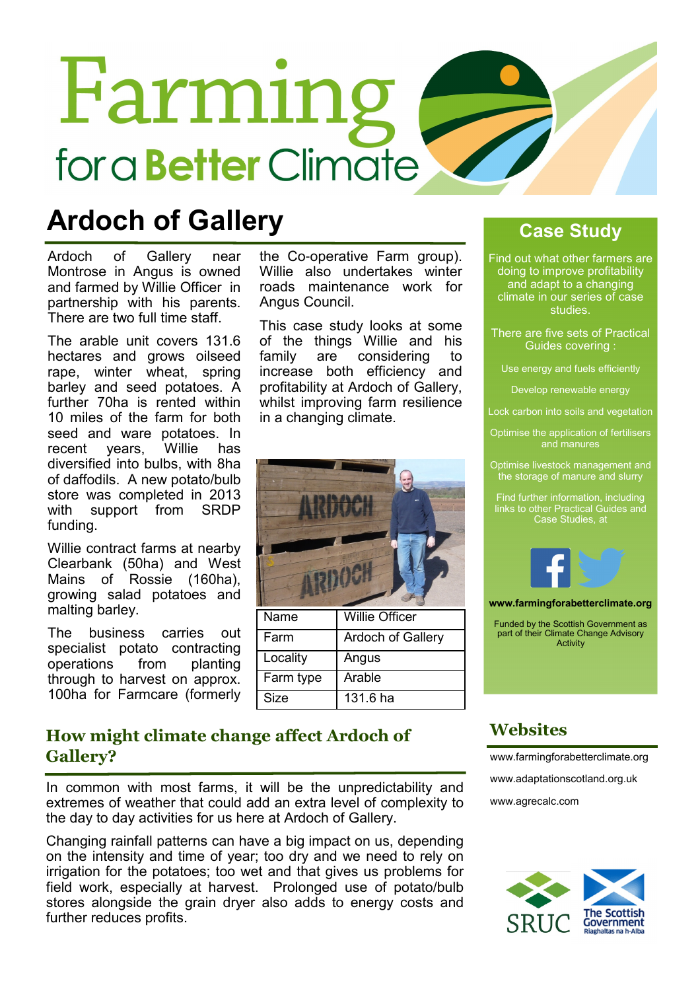# Farming for a **Better** Climate

### Ardoch of Gallery

Ardoch of Gallery near Montrose in Angus is owned and farmed by Willie Officer in partnership with his parents. There are two full time staff.

The arable unit covers 131.6 hectares and grows oilseed rape, winter wheat, spring barley and seed potatoes. A further 70ha is rented within 10 miles of the farm for both seed and ware potatoes. In<br>recent vears. Willie has recent years, Willie has diversified into bulbs, with 8ha of daffodils. A new potato/bulb store was completed in 2013 with support from SRDP funding.

Willie contract farms at nearby Clearbank (50ha) and West Mains of Rossie (160ha), growing salad potatoes and malting barley.

The business carries out specialist potato contracting operations from planting through to harvest on approx. 100ha for Farmcare (formerly the Co-operative Farm group). Willie also undertakes winter roads maintenance work for Angus Council.

This case study looks at some of the things Willie and his family are considering to increase both efficiency and profitability at Ardoch of Gallery, whilst improving farm resilience in a changing climate.



| Name      | <b>Willie Officer</b> |
|-----------|-----------------------|
| Farm      | Ardoch of Gallery     |
| Locality  | Angus                 |
| Farm type | Arable                |
| Size      | 131.6 ha              |

#### Case Study

Find out what other farmers are doing to improve profitability and adapt to a changing climate in our series of case studies.

There are five sets of Practical Guides covering :

Use energy and fuels efficiently

Develop renewable energy

Lock carbon into soils and vegetation

Optimise the application of fertilisers

Optimise livestock management and the storage of manure and slurry

Find further information, including links to other Practical Guides and Case Studies, at



www.farmingforabetterclimate.org

Funded by the Scottish Government as part of their Climate Change Advisory **Activity** 

#### How might climate change affect Ardoch of Gallery?

In common with most farms, it will be the unpredictability and extremes of weather that could add an extra level of complexity to the day to day activities for us here at Ardoch of Gallery.

Changing rainfall patterns can have a big impact on us, depending on the intensity and time of year; too dry and we need to rely on irrigation for the potatoes; too wet and that gives us problems for field work, especially at harvest. Prolonged use of potato/bulb stores alongside the grain dryer also adds to energy costs and further reduces profits.

#### **Websites**

www.farmingforabetterclimate.org www.adaptationscotland.org.uk www.agrecalc.com